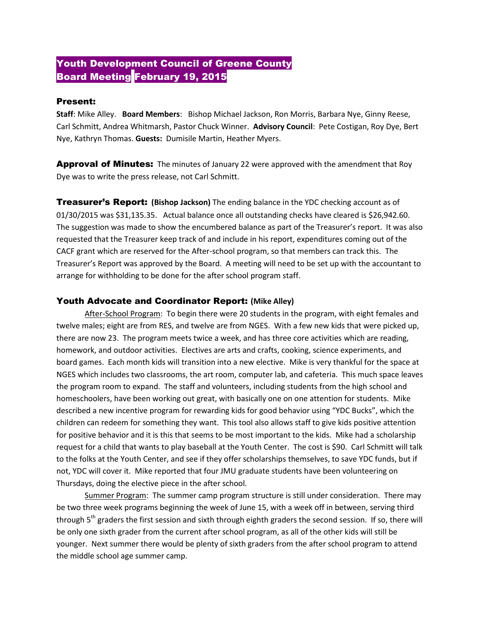## Youth Development Council of Greene County **Board Meeting February 19, 2015**

## Present:

**Staff**: Mike Alley. **Board Members**: Bishop Michael Jackson, Ron Morris, Barbara Nye, Ginny Reese, Carl Schmitt, Andrea Whitmarsh, Pastor Chuck Winner. **Advisory Council**: Pete Costigan, Roy Dye, Bert Nye, Kathryn Thomas. **Guests:** Dumisile Martin, Heather Myers.

**Approval of Minutes:** The minutes of January 22 were approved with the amendment that Roy Dye was to write the press release, not Carl Schmitt.

Treasurer's Report: **(Bishop Jackson)** The ending balance in the YDC checking account as of 01/30/2015 was \$31,135.35. Actual balance once all outstanding checks have cleared is \$26,942.60. The suggestion was made to show the encumbered balance as part of the Treasurer's report. It was also requested that the Treasurer keep track of and include in his report, expenditures coming out of the CACF grant which are reserved for the After-school program, so that members can track this. The Treasurer's Report was approved by the Board. A meeting will need to be set up with the accountant to arrange for withholding to be done for the after school program staff.

## Youth Advocate and Coordinator Report: **(Mike Alley)**

After-School Program: To begin there were 20 students in the program, with eight females and twelve males; eight are from RES, and twelve are from NGES. With a few new kids that were picked up, there are now 23. The program meets twice a week, and has three core activities which are reading, homework, and outdoor activities. Electives are arts and crafts, cooking, science experiments, and board games. Each month kids will transition into a new elective. Mike is very thankful for the space at NGES which includes two classrooms, the art room, computer lab, and cafeteria. This much space leaves the program room to expand. The staff and volunteers, including students from the high school and homeschoolers, have been working out great, with basically one on one attention for students. Mike described a new incentive program for rewarding kids for good behavior using "YDC Bucks", which the children can redeem for something they want. This tool also allows staff to give kids positive attention for positive behavior and it is this that seems to be most important to the kids. Mike had a scholarship request for a child that wants to play baseball at the Youth Center. The cost is \$90. Carl Schmitt will talk to the folks at the Youth Center, and see if they offer scholarships themselves, to save YDC funds, but if not, YDC will cover it. Mike reported that four JMU graduate students have been volunteering on Thursdays, doing the elective piece in the after school.

Summer Program: The summer camp program structure is still under consideration. There may be two three week programs beginning the week of June 15, with a week off in between, serving third through 5<sup>th</sup> graders the first session and sixth through eighth graders the second session. If so, there will be only one sixth grader from the current after school program, as all of the other kids will still be younger. Next summer there would be plenty of sixth graders from the after school program to attend the middle school age summer camp.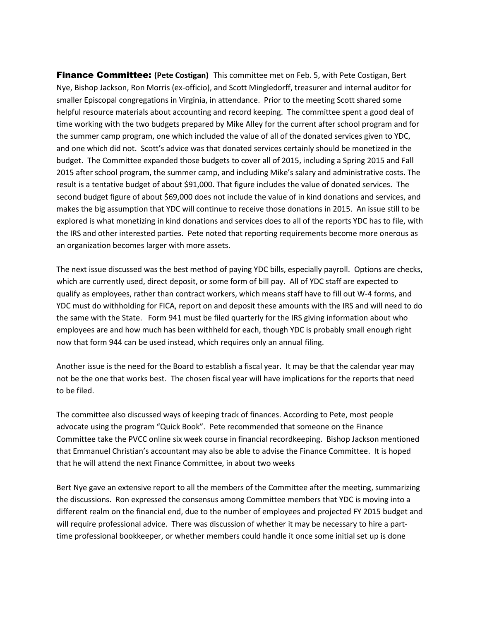Finance Committee: **(Pete Costigan)** This committee met on Feb. 5, with Pete Costigan, Bert Nye, Bishop Jackson, Ron Morris (ex-officio), and Scott Mingledorff, treasurer and internal auditor for smaller Episcopal congregations in Virginia, in attendance. Prior to the meeting Scott shared some helpful resource materials about accounting and record keeping. The committee spent a good deal of time working with the two budgets prepared by Mike Alley for the current after school program and for the summer camp program, one which included the value of all of the donated services given to YDC, and one which did not. Scott's advice was that donated services certainly should be monetized in the budget. The Committee expanded those budgets to cover all of 2015, including a Spring 2015 and Fall 2015 after school program, the summer camp, and including Mike's salary and administrative costs. The result is a tentative budget of about \$91,000. That figure includes the value of donated services. The second budget figure of about \$69,000 does not include the value of in kind donations and services, and makes the big assumption that YDC will continue to receive those donations in 2015. An issue still to be explored is what monetizing in kind donations and services does to all of the reports YDC has to file, with the IRS and other interested parties. Pete noted that reporting requirements become more onerous as an organization becomes larger with more assets.

The next issue discussed was the best method of paying YDC bills, especially payroll. Options are checks, which are currently used, direct deposit, or some form of bill pay. All of YDC staff are expected to qualify as employees, rather than contract workers, which means staff have to fill out W-4 forms, and YDC must do withholding for FICA, report on and deposit these amounts with the IRS and will need to do the same with the State. Form 941 must be filed quarterly for the IRS giving information about who employees are and how much has been withheld for each, though YDC is probably small enough right now that form 944 can be used instead, which requires only an annual filing.

Another issue is the need for the Board to establish a fiscal year. It may be that the calendar year may not be the one that works best. The chosen fiscal year will have implications for the reports that need to be filed.

The committee also discussed ways of keeping track of finances. According to Pete, most people advocate using the program "Quick Book". Pete recommended that someone on the Finance Committee take the PVCC online six week course in financial recordkeeping. Bishop Jackson mentioned that Emmanuel Christian's accountant may also be able to advise the Finance Committee. It is hoped that he will attend the next Finance Committee, in about two weeks

Bert Nye gave an extensive report to all the members of the Committee after the meeting, summarizing the discussions. Ron expressed the consensus among Committee members that YDC is moving into a different realm on the financial end, due to the number of employees and projected FY 2015 budget and will require professional advice. There was discussion of whether it may be necessary to hire a parttime professional bookkeeper, or whether members could handle it once some initial set up is done